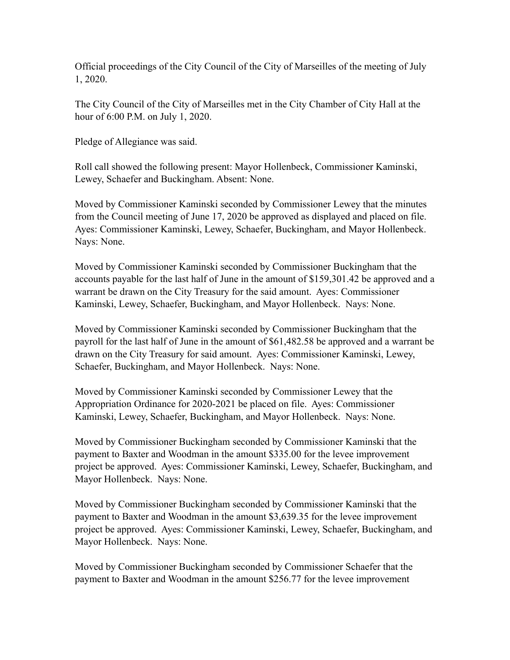Official proceedings of the City Council of the City of Marseilles of the meeting of July 1, 2020.

The City Council of the City of Marseilles met in the City Chamber of City Hall at the hour of 6:00 P.M. on July 1, 2020.

Pledge of Allegiance was said.

Roll call showed the following present: Mayor Hollenbeck, Commissioner Kaminski, Lewey, Schaefer and Buckingham. Absent: None.

Moved by Commissioner Kaminski seconded by Commissioner Lewey that the minutes from the Council meeting of June 17, 2020 be approved as displayed and placed on file. Ayes: Commissioner Kaminski, Lewey, Schaefer, Buckingham, and Mayor Hollenbeck. Nays: None.

Moved by Commissioner Kaminski seconded by Commissioner Buckingham that the accounts payable for the last half of June in the amount of \$159,301.42 be approved and a warrant be drawn on the City Treasury for the said amount. Ayes: Commissioner Kaminski, Lewey, Schaefer, Buckingham, and Mayor Hollenbeck. Nays: None.

Moved by Commissioner Kaminski seconded by Commissioner Buckingham that the payroll for the last half of June in the amount of \$61,482.58 be approved and a warrant be drawn on the City Treasury for said amount. Ayes: Commissioner Kaminski, Lewey, Schaefer, Buckingham, and Mayor Hollenbeck. Nays: None.

Moved by Commissioner Kaminski seconded by Commissioner Lewey that the Appropriation Ordinance for 2020-2021 be placed on file. Ayes: Commissioner Kaminski, Lewey, Schaefer, Buckingham, and Mayor Hollenbeck. Nays: None.

Moved by Commissioner Buckingham seconded by Commissioner Kaminski that the payment to Baxter and Woodman in the amount \$335.00 for the levee improvement project be approved. Ayes: Commissioner Kaminski, Lewey, Schaefer, Buckingham, and Mayor Hollenbeck. Nays: None.

Moved by Commissioner Buckingham seconded by Commissioner Kaminski that the payment to Baxter and Woodman in the amount \$3,639.35 for the levee improvement project be approved. Ayes: Commissioner Kaminski, Lewey, Schaefer, Buckingham, and Mayor Hollenbeck. Nays: None.

Moved by Commissioner Buckingham seconded by Commissioner Schaefer that the payment to Baxter and Woodman in the amount \$256.77 for the levee improvement